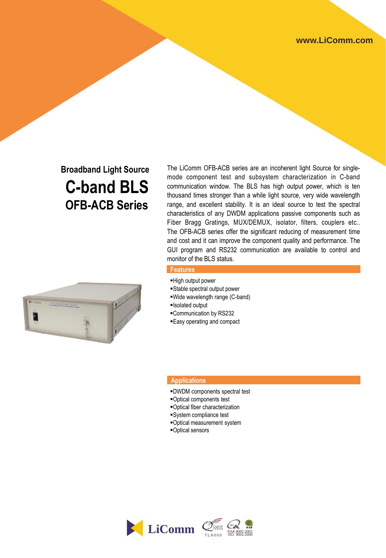# **Broadband Light Source C-band BLS OFB-ACB Series**



### The LiComm OFB-ACB series are an incoherent light Source for singlemode component test and subsystem characterization in C-band communication window. The BLS has high output power, which is ten thousand times stronger than a while light source, very wide wavelength range, and excellent stability. It is an ideal source to test the spectral characteristics of any DWDM applications passive components such as Fiber Bragg Gratings, MUX/DEMUX, isolator, filters, couplers etc.. The OFB-ACB series offer the significant reducing of measurement time and cost and it can improve the component quality and performance. The GUI program and RS232 communication are available to control and monitor of the BLS status.

#### **Features**

- High output power
- Stable spectral output power
- Wide wavelength range (C-band)
- Isolated output
- Communication by RS232
- Easy operating and compact

#### **Applications**

- DWDM components spectral test
- Optical components test
- Optical fiber characterization
- System compliance test
- Optical measurement system
- Optical sensors